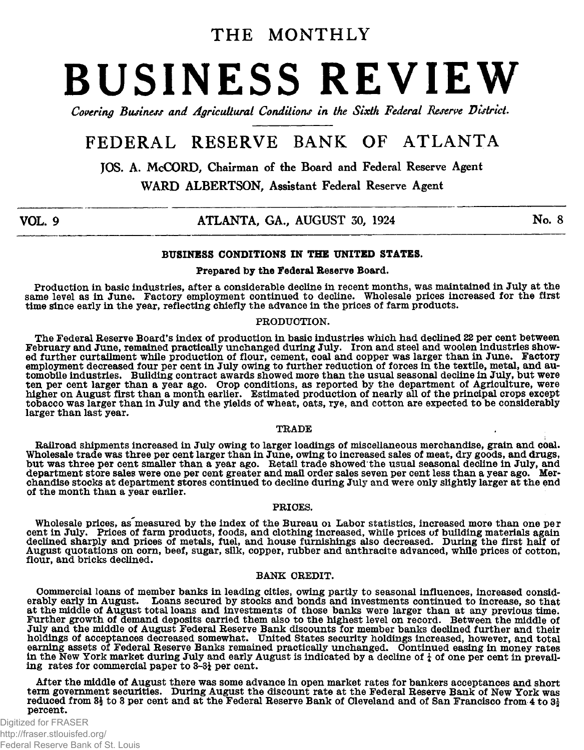## THE MONTHLY

# **BUSINESS REVIEW**

Covering Business and Agricultural Conditions in the Sixth Federal Reserve District.

## **FEDERAL RESERVE BANK OF ATLANTA**

**JOS. A. McCORD, Chairman of the Board and Federal Reserve Agent**

**WARD ALBERTSON, Assistant Federal Reserve Agent**

## **VOL. 9 ATLANTA, GA., AUGUST 30, 1924 No. 8**

#### BUSINESS CONDITIONS IN THE UNITED STATES.

#### Prepared by the Federal Reserve Board.

Production in basic industries, after a considerable decline in recent months, was maintained in July at the same level as in June. Factory employment continued to decline. Wholesale prices increased for the first time since early in the year, reflecting chiefly the advance in the prices of farm products.

#### PRODUCTION.

The Federal Reserve Board's index of production in basic industries which had declined *22* per cent between February and June, remained practically unchanged during July. Iron and steel and woolen industries showed further curtailment while production of flour, cement, coal and copper was larger than in June. Factory employment decreased four per cent in July owing to further reduction of forces in the textile, metal, and automobile industries. Building contract awards showed more than the usual seasonal decline in July, but were ten per cent larger than a year ago. Crop conditions, as reported by the department of Agriculture, were higher on August first than a month earlier. Estimated production of nearly all of the principal crops except tobacco was larger than in July and the yields of wheat, oats, rye, and cotton are expected to be considerably larger than last year.

#### TRADE

Railroad shipments increased in July owing to larger loadings of miscellaneous merchandise, grain and coal. Wholesale trade was three per cent larger than in June, owing to increased sales of meat, dry goods, and drugs, but was three per cent smaller than a year ago. Retail trade showed the usual seasonal decline in July, and department store sales were one per cent greater and mail order sales seven per cent less than a year ago. Merchandise stocks at department stores continued to decline during July and were only slightly larger at the end of the month than a year earlier.

#### PRICES.

Wholesale prices, as measured by the index of the Bureau or Labor statistics, increased more than one per<br>cent in July. Prices of farm products, foods, and clothing increased, while prices of building materials again<br>decli flour, and bricks declined.

#### BANK CREDIT.

Commercial loans of member banks in leading cities, owing partly to seasonal influences, increased considerably early in August. Loans secured by stocks and bonds and investments continued to increase, so that at the middle of August total loans and investments of those banks were larger than at any previous time. Further growth of demand deposits carried them also to the highest level on record. Between the middle of July and the middle of August Federal Reserve Bank discounts for member banks declined further and their holdings of acceptances decreased somewhat. United States security holdings increased, however, and total earning assets of Federal Reserve Banks remained practically unchanged. Continued easing in money rates in the New York market during July and early August is indicated by a decline of  $\frac{1}{4}$  of one per cent in prevailing rates for commercial paper to 3~3i per cent.

After the middle of August there was some advance in open market rates for bankers acceptances and short term government securities. During August the discount rate at the Federal Reserve Bank of New York was reduced from  $3\frac{1}{2}$  to 3 per cent and at the Federal Reserve Bank of Cleveland and of San Francisco from 4 to  $3\frac{1}{2}$ percent.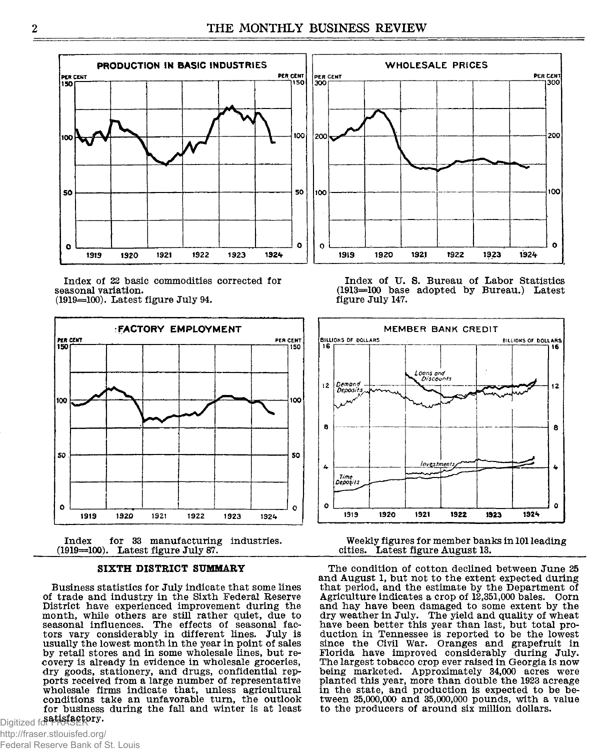

**Index of 22 basic commodities corrected for seasonal variation. (1919=100). Latest figure July 94.**



**Index for 33 manufacturing industries. (1919=100). Latest figure July 87.\_\_\_\_\_\_\_\_\_\_\_\_**

#### **SIXTH DISTRICT SUMMARY**

**Business statistics for July indicate that some lines of trade and industry in the Sixth Federal Reserve District have experienced improvement during the month, while others are still rather quiet, due to seasonal influences. The effects of seasonal factors vary considerably in different lines. July is usually the lowest month in the year in point of sales by retail stores and in some wholesale lines, but recovery is already in evidence in wholesale groceries, dry goods, stationery, and drugs, confidential repports received from a large number of representative wholesale firms indicate that, unless agricultural conditions take an unfavorable turn, the outlook for business during the fall and winter is at least** Digitized for **FRASERPTy.** 

**Index of U. S. Bureau of Labor Statistics (1913=100 base adopted by Bureau.) Latest figure July 147.**



**Weekly figures for member banks in 101 leading cities. Latest figure August 13.\_\_\_\_\_\_\_\_\_\_\_\_\_\_**

**The condition of cotton declined between June 25 and August 1, but not to the extent expected during that period, and the estimate by the Department of Agriculture indicates a crop of 12,351,000 bales. Corn and hay have been damaged to some extent by the dry weather in July. The yield and quality of wheat have been better this year than last, but total production in Tennessee is reported to be the lowest since the Civil War. Oranges and grapefruit in Florida have improved considerably during July. The largest tobacco crop ever raised in Georgia is now being marketed. Approximately 34,000 acres were planted this year, more than double the 1923 acreage in the state, and production is expected to be between 25,000,000 and 35,000,000 pounds, with a value to the producers of around six million dollars.**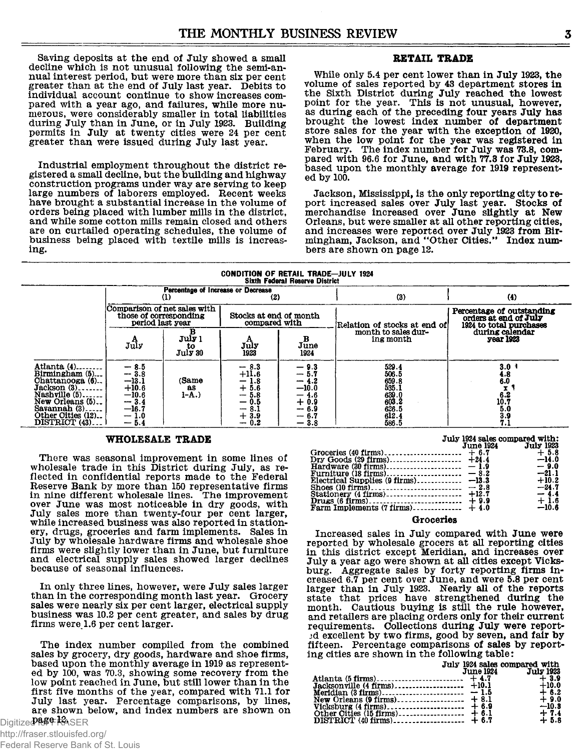**Saving deposits at the end of July showed a small decline which is not unusual following the semi-annual interest period, but were more than six per cent greater than at the end of July last year. Debits to individual account continue to show increases compared with a year ago, and failures, while more numerous, were considerably smaller in total liabilities during July than in June, or in July 1923. Building permits in July at twenty cities were 24 per cent greater than were issued during July last year.**

**Industrial employment throughout the district registered a small decline, but the building and highway construction programs under way are serving to keep large numbers of laborers employed. Recent weeks have brought a substantial increase in the volume of orders being placed with lumber mills in the district, and while some cotton mills remain closed and others are on curtailed operating schedules, the volume of business being placed with textile mills is increasing.**

#### RETAIL TRADE

**While only 5.4 per cent lower than in July 1923, the volume of sales reported by 43 department stores in the Sixth District during July reached the lowest point for the year. This is not unusual, however, as during each of the preceding four years July has brought the lowest index number of department store sales for the year with the exception of 1920, when the low point for the year was registered in February. The index number for July was 73.8, compared with 96.6 for June, and with 77.3 for July 1923,** based upon the monthly average for 1919 represent**ed by 100.**

**Jackson, Mississippi, is the only reporting city to report increased sales over July last year. Stocks of merchandise increased over June slightly at New Orleans, but were smaller at all other reporting cities, and increases were reported over July 1923 from Birmingham, Jackson, and "Other Cities." Index numbers are shown on page 12.**

## CONDITION OF RETAIL TRADE—JULY 1924 Sixth Federal Reserve District

|                                                                                                                                                                             | Percentage of Increase or Decrease<br>(2)                                                                                 |                         |                                                                                               |                                                                     | (3)                                                                                  | (4)                                                                                             |  |
|-----------------------------------------------------------------------------------------------------------------------------------------------------------------------------|---------------------------------------------------------------------------------------------------------------------------|-------------------------|-----------------------------------------------------------------------------------------------|---------------------------------------------------------------------|--------------------------------------------------------------------------------------|-------------------------------------------------------------------------------------------------|--|
|                                                                                                                                                                             | Comparison of net sales with<br>those of corresponding<br>period last year                                                |                         | Stocks at end of month<br>compared with                                                       |                                                                     | Relation of stocks at end of                                                         | Percentage of outstanding<br>orders at end of July<br>1924 to total purchases                   |  |
|                                                                                                                                                                             | July                                                                                                                      | July 1<br>t٥<br>July 30 | July<br>1923                                                                                  | в<br>June<br>1924                                                   | month to sales dur-<br>ing month                                                     | during calendar<br><b>vear 1923</b>                                                             |  |
| Atlanta (4)<br>Birmingham (5)<br>Chattanooga (6)<br>Jackson (3). .<br>Nashville $(5)$ , $\ldots$<br>New Orleans (5)<br>Savannah $(3)$<br>Other Cities (12)<br>DISTRICT (43) | $-8.5$<br>$-3.8$<br>$\begin{array}{r} -13.1 \\ +10.6 \\ -10.6 \end{array}$<br>$-3.4$<br>$-16.7$<br>1.0<br>$-\!$<br>$-5.4$ | (Same<br>as<br>$1 - A.$ | $-8.3$<br>$+11.6$<br>1.8<br>-<br>$+5.6$<br>5.8<br>---<br>$-0.5$<br>-8.1<br>-<br>$+3.9$<br>0.2 | 9.3<br>—<br>-<br>$-10.0$<br>4.6<br>$+0.9$<br>--<br>6.7<br>--<br>3.8 | 529.4<br>506.5<br>659.8<br>535.1<br>$\frac{639.0}{603.2}$<br>626.5<br>612.4<br>586.5 | 3.0 <sup>1</sup><br>$\substack{4.8 \\ 6.0}$<br>x<br>$^{6.2}_{10.7}$<br>$\frac{5.0}{3.9}$<br>7.1 |  |

#### WHOLESALE TRADE

**There was seasonal improvement in some lines of wholesale trade in this District during July, as reflected in confidential reports made to the Federal Reserve Bank by more than 150 representative firms in nine different wholesale lines. The improvement over June was most noticeable in dry goods, with July sales more than twenty-four per cent larger, while increased business was also reported in stationery, drugs, groceries and farm implements. Sales in July by wholesale hardware firms and wholesale shoe firms were slightly lower than in June, but furniture and electrical supply sales showed larger declines because of seasonal influences.**

**In only three lines, however, were July sales larger than in the corresponding month last year. Grocery sales were nearly six per cent larger, electrical supply business was 10.2 per cent greater, and sales by drug firms were 1.6 per cent larger.**

**The index number compiled from the combined sales by grocery, dry goods, hardware and shoe firms, based upon the monthly average in 1919 as represented by 100, was 70.3, showing some recovery from the low point reached in June, but still lower than in the first five months of the year, compared with 71.1 for July last year. Percentage comparisons, by lines, are shown below, and index numbers are shown on page 12.** Digitized for FRASER

|                                               | July 1924 sales compared with: |                     |
|-----------------------------------------------|--------------------------------|---------------------|
|                                               |                                | June 1924 July 1923 |
|                                               |                                |                     |
|                                               |                                |                     |
|                                               |                                |                     |
|                                               |                                | $-21.1$             |
| Electrical Supplies $(9 \text{ firms})$ -13.3 |                                | $+10.2$             |
|                                               |                                | $-24.7$             |
|                                               |                                | $-4.4$              |
|                                               |                                | $+1.6$              |
|                                               |                                | $-10.6$             |
| -- -                                          |                                |                     |

#### **Groceries**

**Increased sales in July compared with June were reported by wholesale grocers at all reporting cities in this district except Meridian, and increases over July a year ago were shown at all cities except Vicksburg. Aggregate sales by forty reporting firms increased 6.7 per cent over June, and were 5.8 per cent larger than in July 1923. Nearly all of the reports state that prices have strengthened during the month. Cautious buying is still the rule however, and retailers are placing orders only for their current requirements. Collections during July were reportjd excellent by two firms, good by seven, and fair by fifteen. Percentage comparisons of sales by reporting cities are shown in the following table:**

| July 1924 sales compared with |                  |
|-------------------------------|------------------|
| June 1924 July 1923           |                  |
|                               |                  |
|                               |                  |
|                               |                  |
|                               | $+9.0$           |
|                               | $-10.8$          |
|                               |                  |
|                               | $+7.4$<br>$+5.8$ |
|                               |                  |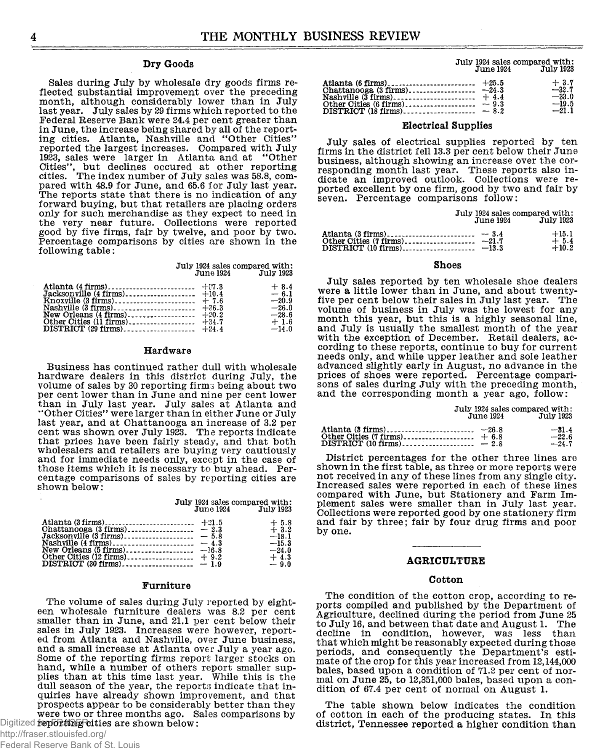#### Dry Goods

Sales during July by wholesale dry goods firms reflected substantial improvement over the preceding month, although considerably lower than in July last year. July sales by 29 firms which reported to the Federal Reserve Bank were 24.4 per cent greater than in June, the increase being shared by all of the reporting cities. Atlanta, Nashville and "Other Cities" reported the largest increases. Compared with July 1923, sales were larger in Atlanta and at "Other Cities'', but declines occured at other reporting<br>cities. The index number of July sales was 58.8, compared with 48.9 for June, and 65.6 for July last year. The reports state that there is no indication of any forward buying, but that retailers are placing orders only for such merchandise as they expect to need in the very near future. Collections were reported good by five firms, fair by twelve, and poor by two. Percentage comparisons by cities are shown in the following table:

|           | July 1924 sales compared with: |
|-----------|--------------------------------|
| June 1924 | July 1923                      |

|  | $+8.4$  |
|--|---------|
|  | $-6.1$  |
|  | $-20.9$ |
|  | $-26.0$ |
|  | $-28.6$ |
|  | $+1.6$  |
|  | $-14.0$ |

#### Hardware

Business has continued rather dull with wholesale hardware dealers in this district during July, the volume of sales by 30 reporting firms being about two per cent lower than in June and nine per cent lower than in July last year. July sales at Atlanta and "Other Cities" were larger than in either June or July last year, and at Chattanooga an increase of 3.2 per cent was shown over July 1923. The reports indicate that prices have been fairly steady, and that both wholesalers and retailers are buying very cautiously and for immediate needs only, except in the case of those items which it is necessary to buy ahead. Percentage comparisons of sales by reporting cities are shown below:

> **July 1924 sales compared with:**<br>**June 1924 July 1923 June 1924 Ju ly 1923**

|  | $+5.8$<br>$+3.2$              |
|--|-------------------------------|
|  | $-18.1$<br>$-15.3$<br>$-24.0$ |
|  | $+4.3$<br>$-9.0$              |

#### **Furniture**

The volume of sales during July reported by eighteen wholesale furniture dealers was 8.2 per cent smaller than in June, and 21.1 per cent below their sales in July 1923. Increases were however, reported from Atlanta and Nashville, over June business, and a small increase at Atlanta over July a year ago. Some of the reporting firms report larger stocks on hand, while a number of others report smaller supplies than at this time last year. While this is the dull season of the year, the reports indicate that inquiries have already shown improvement, and that prospects appear to be considerably better than they were two or three months ago. Sales comparisons by Digitized **feporting cities are shown below:** 

## http://fraser.stlouisfed.org/

Federal Reserve Bank of St. Louis

|           | July 1924 sales compared with: |
|-----------|--------------------------------|
| June 1924 | <b>July 1923</b>               |

|                               | $+3.7$  |
|-------------------------------|---------|
|                               | $-32.7$ |
|                               | $-33.0$ |
| Other Cities (6 firms) $-9.3$ | $-19.5$ |
|                               | $-21.1$ |

#### Electrical Supplies

July sales of electrical supplies reported by ten firms in the district fell 13.3 per cent below their June business, although showing an increase over the corresponding month last year. These reports also indicate an improved outlook. Collections were reported excellent by one firm, good by two and fair by seven. Percentage comparisons follow:

|  | July 1924 sales compared with:<br><b>June 1924 July 1923</b> |
|--|--------------------------------------------------------------|
|  | $+15.1$<br>$+5.4$<br>$+10.2$                                 |

#### **Shoes**

July sales reported by ten wholesale shoe dealers were a little lower than in June, and about twentyfive per cent below their sales in July last year. The volume of business in July was the lowest for any month this year, but this is a highly seasonal line, and July is usually the smallest month of the year with the exception of December. Retail dealers, according to these reports, continue to buy for current needs only, and while upper leather and sole leather advanced slightly early in August, no advance in the prices of shoes were reported. Percentage comparisons of sales during July with the preceding month, and the corresponding month a year ago, follow:

|                             | June 1924 | July 1923                     |
|-----------------------------|-----------|-------------------------------|
| $DISTRICT (10 firms)$ - 2.8 |           | $-31.4$<br>$-22.6$<br>$-24.7$ |

July 1924 sales compared with:

District percentages for the other three lines are shown in the first table, as three or more reports were not received in any of these lines from any single city. Increased sales were reported in each of these lines compared with June, but Stationery and Farm Implement sales were smaller than in July last year. Collections were reported good by one stationery firm and fair by three; fair by four drug firms and poor by one.

#### **AGRICULTURE**

#### Cotton

The condition of the cotton crop, according to reports compiled and published by the Department of Agriculture, declined during the period from June 25 to July 16, and between that date and August 1. The decline in condition, however, was less than that which might be reasonably expected during those periods, and consequently the Department's estimate of the crop for this year increased from 12,144,000 bales, based upon a condition of 71.2 per cent of normal on June 25, to 12,351,000 bales, based upon a condition of 67.4 per cent of normal on August 1.

The table shown below indicates the condition of cotton in each of the producing states. In this district, Tennessee reported a higher condition than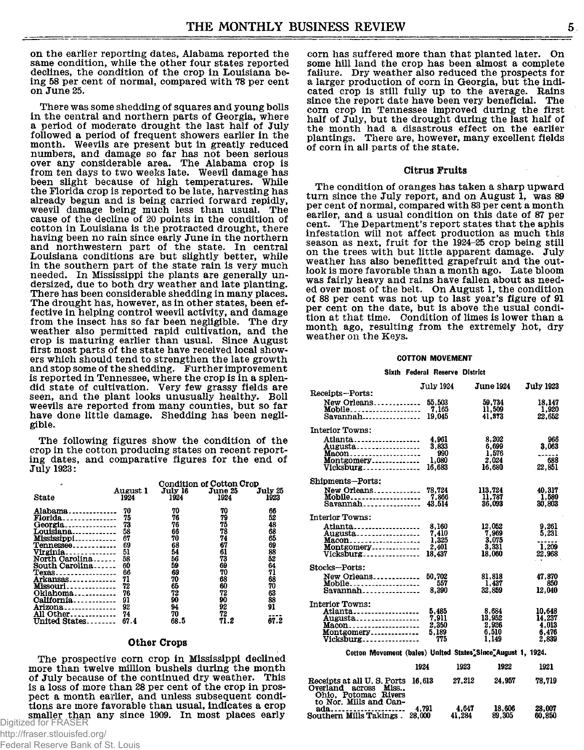on the earlier reporting dates, Alabama reported the same condition, while the other four states reported declines, the condition of the crop in Louisiana being 58 per cent of normal, compared with 78 per cent on June 25.

There was some shedding of squares and young bolls in the central and northern parts of Georgia, where a period of moderate drought the last half of July followed a period of frequent showers earlier in the month. Weevils are present but in greatly reduced numbers, and damage so far has not been serious over any considerable area. The Alabama crop is from ten days to two weeks late. Weevil damage has been slight because of high temperatures. While the Florida crop is reported to be late, harvesting has already begun and is being carried forward repidly, weevil damage being much less than usual. The cause of the decline of 20 points in the condition of cotton in Louisiana is the protracted drought, there having been no rain since early June in the northern and northwestern part of the state. In central Louisiana conditions are but slightly better, while in the southern part of the state rain is very much needed. In Mississippi the plants are generally undersized, due to both dry weather and late planting. There has been considerable shedding in many places. The drought has, however, as in other states, been effective in helping control weevil activity, and damage from the insect has so far been negligible. The dry weather also permitted rapid cultivation, and the crop is maturing earlier than usual. Since August first most parts of the state have received local showers which should tend to strengthen the late growth and stop some of the shedding. Further improvement is reported in Tennessee, where the crop is in a splendid state of cultivation. Very few grassy fields are seen, and the plant looks unusually healthy. Boll weevils are reported from many counties, but so far have done little damage. Shedding has been negligible.

The following figures show the condition of the crop in the cotton producing states on recent reporting dates, and comparative figures for the end of July 1923:

| ŵ               |          | <b>Condition of Cotton Crop</b> |         |         |  |
|-----------------|----------|---------------------------------|---------|---------|--|
|                 | August 1 | July 16                         | June 25 | July 25 |  |
| State           | 1924     | 1924                            | 1924    | 1923    |  |
|                 |          |                                 |         |         |  |
| Alabama         | 70       | 70                              | 70      | 66      |  |
| <b>Florida</b>  | 75       | 76                              | 79      | 52      |  |
| Georgia         | 73       | 76                              | 75      | 48      |  |
| Louisiana       | 58       | 66                              | 78      | 68      |  |
| Mississippi     | 67       | 70                              | 74      | 65      |  |
| Tennessee       | 69       | 68                              | 67      | 69      |  |
| <u>Virginia</u> | 51       | 54                              | 61      | 88      |  |
| North Carolina  | 58       | 56                              | 73      | 52      |  |
| South Carolina  | 60       | 59                              | 69      | 64      |  |
| Texas           | 66       | 69                              | 70      | 71      |  |
| Arkansas        | 71       | 70                              | 68      | 68      |  |
| <b>Missouri</b> | 72       | 65                              | 60      | 70      |  |
| Oklahoma        | 76       | 72                              | 72      | 63      |  |
| California      | 91       | 90                              | 90      | 88      |  |
| Arizona         | 92       | 94                              | 92      | 91      |  |
| All Other       | 74       | 70                              | 72      |         |  |
| United States   | 67.4     | 68.5                            | 71.2    | 67.2    |  |
|                 |          |                                 |         |         |  |

#### Other Crops

The prospective corn crop in Mississippi declined more than twelve million bushels during the month of July because of the continued dry weather. This is a loss of more than 28 per cent of the crop in prospect a month earlier, and unless subsequent conditions are more favorable than usual, indicates a crop smaller than any since 1909. In most places early<br>Digitized for FRASER

Federal Reserve Bank of St. Louis

corn has suffered more than that planted later. On some hill land the crop has been almost a complete failure. Dry weather also reduced the prospects for a larger production of corn in Georgia, but the indicated crop is still fully up to the average. Rains since the report date have been very beneficial. The corn crop in Tennessee improved during the first half of July, but the drought during the last half of the month had a disastrous effect on the earlier plantings. There are, however, many excellent fields of corn in all parts of the state.

#### Citrus Fruits

The condition of oranges has taken a sharp upward turn since the July report, and on August 1, was 89 per cent of normal, compared with 83 per cent a month earlier, and a usual condition on this date of 87 per cent. The Department's report states that the aphis infestation will not affect production as much this season as next, fruit for the 1924-25 crop being still on the trees with but little apparent damage. July weather has also benefitted grapefruit and the outlook is more favorable than a month ago. Late bloom was fairly heavy and rains have fallen about as needed over most of the belt. On August 1, the condition of 88 per cent was not up to last year's figure of 91 per cent on the date, but is above the usual condition at that time. Condition of limes is lower than a month ago, resulting from the extremely hot, dry weather on the Keys.

#### **COTTON MOVEMENT**

#### **Sixth Federal Reserve District**

|                                                                            | <b>July 1924</b> |        | <b>June 1924</b> | <b>July 1923</b> |
|----------------------------------------------------------------------------|------------------|--------|------------------|------------------|
| Receipts-Ports:                                                            |                  |        |                  |                  |
| New Orleans                                                                | 55.503           |        | 59.734           | 18.147           |
| Mobile                                                                     | 7.165            |        | 11.509           | 1.920            |
| $Savannah$ <sub>-----------------</sub>                                    | 19.045           |        | 41.873           | 22.652           |
| <b>Interior Towns:</b>                                                     |                  |        |                  |                  |
| Atlanta                                                                    | 4.961            |        | 8.202            | 966              |
| Augusta…………………                                                             | 3.833            |        | 6.699            | 3,063            |
|                                                                            | 990              |        | 1,576<br>2.024   | 688              |
| Montgomery                                                                 | 1,080            |        |                  |                  |
| Vicksburg                                                                  | 16.683           |        | 16.680           | 22.851           |
| Shipments-Ports:                                                           |                  |        |                  |                  |
| New Orleans                                                                | 78,724           |        | 113,724          | 40.317           |
| Mobile                                                                     | 7,866            |        | 11.787           | 1.580            |
| $Savannah$                                                                 | 43,514           |        | 36.093           | 30,803           |
| <b>Interior Towns:</b>                                                     |                  |        |                  |                  |
| Atlanta                                                                    | 8.160            |        | 12,052           | 9.261            |
| Augusta                                                                    | 7,410            |        | 7,969            | 5.231            |
| Macon                                                                      | 1.325            |        | 3.075            |                  |
| Montgomery                                                                 | 2.401            |        | 3.331            | 1.209            |
| <b>Vicksburg</b>                                                           | 18.437           |        | 18.060           | 22,968           |
| Stocks--Ports:                                                             |                  |        |                  |                  |
| New Orleans                                                                | 50.702           |        | 81.818           | 47.870           |
| Mobile                                                                     | 557              |        | 1.437            | 850              |
|                                                                            | 8.390            |        | 32,859           | 12.040           |
| <b>Interior Towns:</b>                                                     |                  |        |                  |                  |
| Atlanta                                                                    | 5.485            |        | 8.684            | 10.648           |
| Augusta                                                                    | 7.911            |        | 13.952           | 14.237           |
| Macon                                                                      | 2,350            |        | 2.926            | 4.013            |
| Montgomery                                                                 | 5.189            |        | 6.510            | 6.476            |
| Vicksburg                                                                  | 775              |        | 1.149            | 2.839            |
| Cotton Movement (bales) United States Since August 1, 1924.                |                  |        |                  |                  |
|                                                                            | 1924             | 1923   | 1922             | 1921             |
| Receipts at all U.S. Ports<br>Overland across Miss<br>Ohio, Potomac Rivers | 16.613           | 27.212 | 24.957           | 78.719           |

| to Nor. Mills and Can-          |       |        |        |        |
|---------------------------------|-------|--------|--------|--------|
| $ada$                           | 4.791 | 4.647  | 18.606 | 28.007 |
| Southern Mills Takings . 28,000 |       | 41.284 | 89.305 | 60.850 |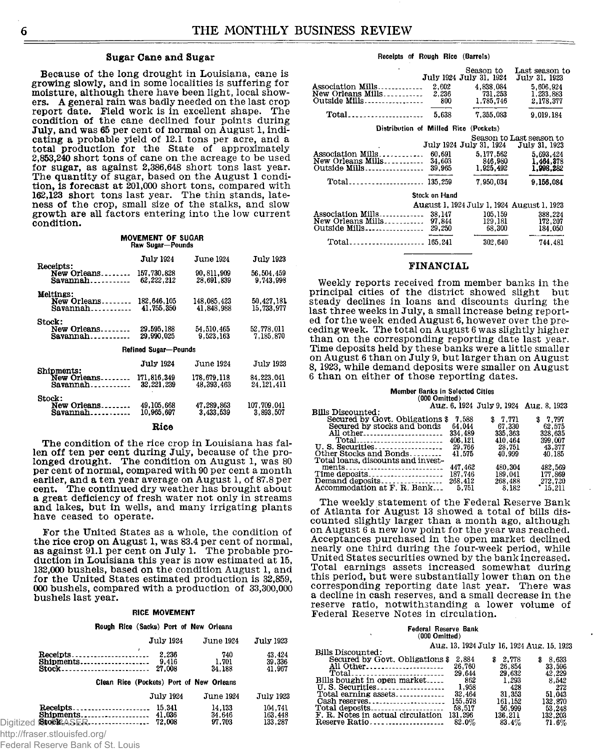#### Sugar Cane and Sugar

Because of the long drought in Louisiana, cane is growing slowly, and in some localities is suffering for moisture, although there have been light, local showers. A general rain was badly needed on the last crop report date. Field work is in excellent shape. The condition of the cane declined four points during July, and was 65 per cent of normal on August 1, indicating a probable yield of 12.1 tons per acre, and a total production for the State of approximately 2,853,240 short tons of cane on the acreage to be used for sugar, as against 2,386,648 short tons last year. The quantity of sugar, based on the August 1 condi- $\;$  tion, is forecast at 201,000 short tons, compared with 162,123 short tons last year. The thin stands, lateness of the crop, small size of the stalks, and slow growth are all factors entering into the low current condition.

|                  | <b>MOVEMENT OF SUGAR</b> |
|------------------|--------------------------|
| Raw Sugar-Pounds |                          |

|                                                          | <b>July 1924</b>          | <b>June 1924</b>          | July 1923                |
|----------------------------------------------------------|---------------------------|---------------------------|--------------------------|
| <b>Receipts:</b><br>New Orleans<br>Savannah.<br>.        | 157.730.828<br>62,222,212 | 90.811.909<br>28.691.839  | 56.504.459<br>9.743.998  |
| Meltings:                                                |                           |                           |                          |
| New Orleans<br>$Savannah$ <sub>----------</sub>          | 182,646,105<br>41,755,350 | 148.085.423<br>41,848,988 | 50.427.181<br>15,733,977 |
| Stock:                                                   |                           |                           |                          |
| New Orleans                                              | 29.595.188<br>29.990.025  | 54,510,465<br>9.523.163   | 52.778.011<br>7.185.870  |
|                                                          | Refined Sugar-Pounds      |                           |                          |
|                                                          | <b>July 1924</b>          | June 1924                 | July 1923                |
| <b>Shipments:</b><br>New Orleans<br>Savannah.<br>------- | 171,816,349<br>32,221,239 | 178.679.118<br>48,393,463 | 84.223.041<br>24.121.411 |
| Stock:<br>New Orleans.<br>$- - - - - -$                  | 49, 105, 668              | 47,289,863                | 107.709.041              |
| Savannah.<br>.                                           | 10.965.697                | 3.433.539                 | 3.893.507                |
|                                                          |                           |                           |                          |

**Rice** 

The condition of the rice crop in Louisiana has fallen off ten per cent during July, because of the prolonged drought. The condition on August 1, was 80 per cent of normal, compared with 90 per cent a month earlier, and a ten year average on August 1, of 87.8 per cent. The continued dry weather has brought about a great deficiency of fresh water not only in streams and lakes, but in wells, and many irrigating plants have ceased to operate.

For the United States as a whole, the condition of the rice crop on August 1, was 83.4 per cent of normal, as against 91.1 per cent on July 1. The probable production in Louisiana this year is now estimated at 15, 132,000 bushels, based on the condition August 1, and for the United States estimated production is 32,859, 000 bushels, compared with a production of 33,300,000 bushels last year.

#### RICE MOVEMENT

#### Rough Rice (Sacks) Port of New Orleans

| <b>July 1924</b> | <b>June 1924</b> | July 1923 |
|------------------|------------------|-----------|
| 9.416            | 740              | 43.424    |
|                  | 1.701            | 39,336    |
|                  | 34.188           | 41,967    |

#### Clean Rice (Pockets) Port of New Orleans

|                                       | July 1924                  | <b>June 1924</b>           | July 1923                     | Total earning assets<br>Cash reserves                                | 32,464<br>155.578          | .<br>31,353<br>161.152     | .<br>51,043<br>132,870     |
|---------------------------------------|----------------------------|----------------------------|-------------------------------|----------------------------------------------------------------------|----------------------------|----------------------------|----------------------------|
| Shipments<br>$SpecRASER$<br>Digitized | 15.341<br>11.036<br>72.008 | 14.133<br>34.646<br>97,703 | 104.741<br>163.448<br>133.287 | Total deposits<br>F. R. Notes in actual circulation<br>Reserve Ratio | 58,517<br>131.296<br>82.0% | 56.999<br>136,211<br>83.4% | 53.248<br>132.203<br>71.6% |

http://fraser.stlouisfed.org/

Federal Reserve Bank of St. Louis

#### **Receipts of Rough Rice (Barrels)**

|                                                              |                            | Season to<br>July 1924 July 31, 1924       | Last season to<br>July 31, 1923           |
|--------------------------------------------------------------|----------------------------|--------------------------------------------|-------------------------------------------|
| Association Mills<br>New Orleans Mills<br>Outside Mills<br>. | 2.602<br>2,236<br>800      | 4.838.084<br>731,253<br>1,785,746          | 5.606.924<br>1.233.883<br>2.178.377       |
| Total                                                        | 5.638                      | 7.355.083                                  | 9,019.184                                 |
| Distribution of Milled Rice                                  |                            | (Pockets)                                  |                                           |
|                                                              |                            | July 1924 July 31, 1924                    | Season to Last season to<br>July 31, 1923 |
| Association Mills<br>New Orleans Mills<br>Outside Mills      | 60.691<br>34.603<br>39,965 | 5.177.562<br>846.980<br>1.925.492          | 5,693,424<br>1,464.378<br>1.998.282       |
|                                                              | 135,259                    | 7.950.034                                  | 9.156.084                                 |
|                                                              | <b>Stock on Hand</b>       |                                            |                                           |
|                                                              |                            | August 1, 1924 July 1, 1924 August 1, 1923 |                                           |
| Association Mills<br>New Orleans Mills<br>Outside Mills      | 38.147<br>97.844<br>29,250 | 105.159<br>129.181<br>68.300               | 388.224<br>172,207<br>184.050             |
| 165.241<br>Total.                                            |                            | 302,640                                    | 744,481                                   |
|                                                              |                            |                                            |                                           |

#### **FINANCIAL**

Weekly reports received from member banks in the principal cities of the district showed slight but steady declines in loans and discounts during the last three weeks in July, a small increase being reported for the week ended August 6, however over the preceding week. The total on August  $6$  was slightly higher than on the corresponding reporting date last year. Time deposits held by these banks were a little smaller on August 6 than on July 9, but larger than on August 8, 1923, while demand deposits were smaller on August 6 than on either of those reporting dates.

## **Member Banks in Selected Cities (000 Omitted)**

|                                                               |         |         | Aug. 6, 1924 July 9, 1924 Aug. 8, 1923 |
|---------------------------------------------------------------|---------|---------|----------------------------------------|
| <b>Bills Discounted:</b>                                      |         |         |                                        |
| Secured by Govt. Obligations \$                               | 7.588   | \$7.771 | \$7.797                                |
| Secured by stocks and bonds                                   | 64.044  | 67.330  | 62.575                                 |
| All other                                                     | 334.489 | 335.363 | 328.635                                |
| Total                                                         | 406.121 | 410.464 | 399 007                                |
|                                                               | 29,766  | 28.751  | 43.377                                 |
| Other Stocks and Bonds                                        | 41.575  | 40.999  | 40.185                                 |
| Total loans, discounts and invest-                            |         |         |                                        |
| $ments \dots \dots \dots \dots \dots \dots \dots \dots \dots$ | 447.462 | 480.304 | 482,569                                |
|                                                               | 187.746 | 189.041 | 177.869                                |
| Demand deposits                                               | 268,412 | 268,488 | 272.720                                |
| Accommodation at F. R. Bank                                   | 5.751   | 8.182   | $^*$ 15,211                            |

The weekly statement of the Federal Reserve Bank of Atlanta for August 13 showed a total of bills discounted slightly larger than a month ago, although on August 6 a new low point for the year was reached. Acceptances purchased in the open market declined nearly one third during the four-week period, while United States securities owned by the bank increased. Total earnings assets increased somewhat during this period, but were substantially lower than on the corresponding reporting date last year. There was a decline in cash reserves, and a small decrease in the reserve ratio, notwithstanding a lower volume of Federal Reserve Notes in circulation.

#### **Federal Reserve Bank (000 Omitted)**

|                                   | Aug, 13, 1924 July 16, 1924 Aug, 15, 1923 |         |               |
|-----------------------------------|-------------------------------------------|---------|---------------|
| Bills Discounted:                 |                                           |         |               |
| Secured by Govt. Obligations \$   | 2,884                                     | 2.778   | 8.633         |
| All Other                         | 26 760                                    | 26.854  | 33.596        |
| Total                             | 29.644                                    | 29.632  | 42.229        |
| Bills bought in open market       | 862                                       | 1,293   | 8.542         |
| U. S. Securities                  | 1.958                                     | 428     | 272           |
| Total earning assets              | 32.464                                    | 31,353  | 51,043        |
| Cash reserves                     | 155.578                                   | 161.152 | 132.870       |
| Total deposits                    | 58,517                                    | 56.999  | 53.248        |
| F. R. Notes in actual circulation | 131.296                                   | 136.211 | 132,203       |
| Decenie Detio                     | 99.07                                     | 02.07   | <b>71 007</b> |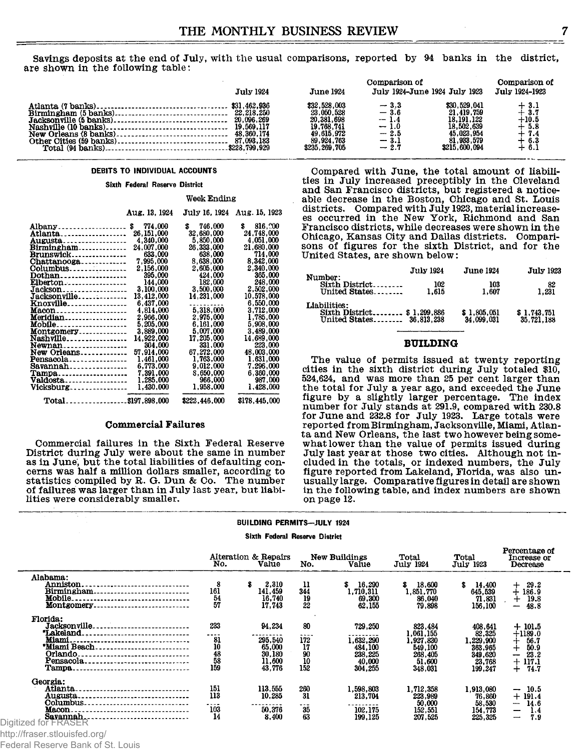Savings deposits at the end of July, with the usual comparisons, reported by 94 banks in the district, are shown in the following table:

|                                                                                                                                                                        |                                                                                                       |                                                                                                     | Comparison of                                                        |                                                                                                       | Comparison of                                                       |
|------------------------------------------------------------------------------------------------------------------------------------------------------------------------|-------------------------------------------------------------------------------------------------------|-----------------------------------------------------------------------------------------------------|----------------------------------------------------------------------|-------------------------------------------------------------------------------------------------------|---------------------------------------------------------------------|
|                                                                                                                                                                        | <b>July 1924</b>                                                                                      | <b>June 1924</b>                                                                                    |                                                                      | July 1924-June 1924 July 1923                                                                         | July 1924-1923                                                      |
| Atlanta (7 banks)<br>Birmingham (5 banks)<br>Jacksonville (5 banks).<br>Nashville (10 banks).<br>New Orleans (8 banks)<br>Other Cities (59 banks).<br>Total (94 banks) | \$31,462,936<br>22, 218, 250<br>20,096,269<br>19,569,117<br>48.360.174<br>87,093,183<br>\$228,799,929 | \$32,528,003<br>23,050,528<br>20,381,698<br>19,768,741<br>49,615,972<br>89,924,763<br>\$235,269,705 | $=$ 3.3<br>$=$ 3.6<br>$-1.4$<br>$-1.0$<br>$-2.5$<br>$-3.1$<br>$-2.7$ | \$30,529,041<br>21.419.759<br>18, 191, 122<br>18,502,639<br>45.023.954<br>81,933,579<br>\$215,600,094 | $+3.1$<br>$+3.7$<br>$+10.5$<br>$+5.8$<br>$+7.4$<br>$+6.3$<br>$+6.1$ |

#### DEBITS TO INDIVIDUAL ACCOUNTS

#### Sixth Federal Reserve District

#### **Week Ending**

|                    | Aug. 13, 1924 |               | JUIV 16. 1924 - AUG. 15. 1923 |
|--------------------|---------------|---------------|-------------------------------|
| Albany\$           | 774,000       | 746.000<br>s  | 816,000<br>\$                 |
| Atlanta            | 26.151.000    | 32.680,000    | 24.748.000                    |
| Augusta            | 4.340.000     | 5.850.000     | 4.051.000                     |
| Birmingham         | 24.007.000    | 26.333,000    | 21,680,000                    |
| <b>Brunswick</b>   | 633,000       | 638,000       | 714.000                       |
| Chattanooga        | 7.995.000     | 8.638.000     | 8,342,000                     |
| Columbus           | 2.156.000     | 2,605,000     | 2.340.000                     |
| Dothan             | 395,000       | 424,000       | 365.000                       |
| Elberton           | 144.000       | 182.000       | 248,000                       |
| Jackson            | 3.100.000     | 3.500.000     | 2.502,000                     |
| Jacksonville       | 13.412.000    | 14.231.000    | 10.578.000                    |
| Knoxville          | 6.437.000     | .             | 6.550.000                     |
| Macon              | 4.814.000     | 5.318.000     | 3.712.000                     |
| Meridian           | 2.966.000     | 2.975.000     | 1.785.000                     |
| Mobile             | 5.205.000     | 6.161.000     | 5.908.000                     |
| Montgomery         | 3.889.000     | 5.007.000     | 3.489.000                     |
| Nashville          | 14.922.000    | 17.205.000    | 14.689.000                    |
| Newnan             | 304.000       | 331.000       | 223,000                       |
| New Orleans        | 57,914,000    | 67.272.000    | 48,003,000                    |
| Pensacola          | 1.461.000     | 1,763,000     | 1.631,000                     |
| $Savannah$         | 6.773.000     | 9.012.000     | 7.296.000                     |
| Tampa              | 7.391.000     | 8,650,000     | 6.360.000                     |
| Valdosta           | 1,285,000     | 966,000       | 987.000                       |
| $Vicksburg$        | 1,430,000     | 1.958.000     | 1.428.000                     |
| Total\$197,898,000 |               | \$222,446,000 | \$178,445,000                 |

#### Commercial Failures

Commercial failures in the Sixth Federal Reserve District during July were about the same in number as in June, but the total liabilities of defaulting concerns was half a million dollars smaller, according to statistics compiled by R. G. Dun & Co. The number of failures was larger than in July last year, but liabi-<br>lities were considerably smaller.

Compared with June, the total amount of liabilities in July increased preceptibly in the Cleveland and San Francisco districts, but registered a noticeable decrease in the Boston, Chicago and St. Louis districts. Compared with July 1923, material increasees occurred in the New York, Richmond and San Francisco districts, while decreases were shown in the Chicago, Kansas City and Dallas districts. Comparisons of figures for the sixth District, and for the United States, are shown below:

| Number:                                                                | <b>July 1924</b> | <b>June 1924</b>          | <b>July 1923</b>          |
|------------------------------------------------------------------------|------------------|---------------------------|---------------------------|
| Sixth District<br>United States                                        | 102<br>1.615     | 103<br>1.607              | 82<br>1.231               |
| Liabilities:<br>Sixth District \$1,299,886<br>United States 36.813.238 |                  | \$1,805,051<br>34,099,031 | \$1,743,751<br>35.721.188 |

#### **BUILDING**

The value of permits issued at twenty reporting cities in the sixth district during July totaled \$10,  $524,624$ , and was more than 25 per cent larger than the total for July a year ago, and exceeded the June figure by a slightly larger percentage. The index number for July stands at 291.9, compared with 230.8 for June and 232.8 for July 1923. Large totals were reported from Birmingham, Jacksonville, Miami, Atlanta and New Orleans, the last two however being somewhat lower than the value of permits issued during July last year at those two cities. Although not included in the totals, or indexed numbers, the July figure reported from Lakeland, Florida, was also unusually large. Comparative figures in detail are shown in the following table, and index numbers are shown on page 12.

**Percentage of**

#### BUILDING PERMITS—JULY 1924

#### Sixth Federal Reserve District

|                                                                        | No.                                                 | Alteration & Repairs<br>Value   | No.                    | New Buildings<br>Value              | Total<br>July 1924                  | Total<br><b>July 1923</b>         | T CIOCTINGPO OT<br>Increase or<br>Decrease |
|------------------------------------------------------------------------|-----------------------------------------------------|---------------------------------|------------------------|-------------------------------------|-------------------------------------|-----------------------------------|--------------------------------------------|
| Alabama:<br>Anniston.<br><u>Birmingham</u><br>Mobile                   | 8<br>161                                            | 2,310<br>s<br>141,459<br>16,740 | 11<br>344              | 16,290<br>\$<br>1.710.311<br>69,300 | 18,600<br>S.<br>1,851,770<br>86,040 | \$<br>14.400<br>645.539<br>71,831 | 29.2<br>┿<br>186.9<br>19.8<br>$\div$       |
| Montgomery.<br>----------------------------                            | $\frac{54}{57}$                                     | 17.743                          | $\frac{19}{22}$        | 62,155                              | 79.898                              | 156,100                           | 48.8<br>—                                  |
| Florida:<br>Jacksonville<br><i>Lakeland</i>                            | 233<br>                                             | 94.234                          | 80                     | 729,250                             | 823.484<br>,061,155                 | 408.641<br>82,325                 | $+101.5$<br>$+1189.0$                      |
| *Miami Beach                                                           | $\begin{array}{c} 81 \\ 10 \\ 48 \\ 58 \end{array}$ | <br>295,540<br>65,000           | ----<br>172<br>17      | .<br>1,632,290<br>484,100           | 1.927.830<br>549,100                | 1.229.900<br>363.965              | 56.7<br>50.9<br>$^{\mathrm{+}}$            |
| Orlando.<br><br>Pensacola.<br>------------------------------<br>Tampa. | 159                                                 | 30,180<br>11.600<br>43.776      | $\frac{90}{10}$<br>152 | 238.225<br>40.000<br>304,255        | 268,405<br>51,600<br>348,031        | 349,620<br>23.768<br>199,247      | 23.2<br>--<br>117.1<br>$+$<br>74.7         |
| Georgia:<br>Atlanta<br><br>Augusta<br>Columbus                         | 151<br>113                                          | 113,555<br>10.285               | 260<br>31              | 1.598.803<br>213.704                | 1,712,358<br>223,989<br>50,000      | 1.913.080<br>76,860<br>58.530     | 10.5<br>-<br>$+191.4$<br>14.6<br>-         |
| Macon.<br>Savannah.<br>Digitized for FRASER                            | ----<br>103<br>14                                   | ---------<br>50,376<br>8,400    | .<br>35<br>63          | 102.175<br>199.125                  | 152,551<br>207,525                  | 154,773<br>225,325                | 1.4<br>$\hspace{0.05cm}$<br>7.9<br>---     |

http://fraser.stlouisfed.org/

Federal Reserve Bank of St. Louis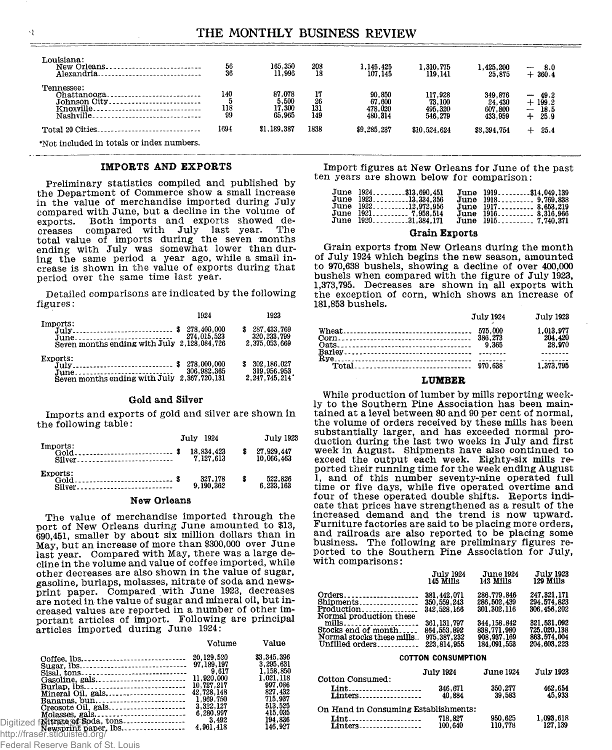## THE MONTHLY BUSINESS REVIEW

| $\frac{56}{36}$  | 165,350<br>11,996                          | 208<br>18              | 1.145.425<br>107.145                   | 1,310,775<br>119,141                    | l.425.200<br>25.875                     | $-8.0$<br>$+360.4$                                                                            |  |
|------------------|--------------------------------------------|------------------------|----------------------------------------|-----------------------------------------|-----------------------------------------|-----------------------------------------------------------------------------------------------|--|
| 140<br>118<br>99 | 87.078<br>$\frac{5,500}{17,300}$<br>65.965 | 17<br>26<br>131<br>149 | 90,850<br>67,600<br>478,020<br>480.314 | 117.928<br>73,100<br>495,320<br>546,279 | 349.876<br>24.430<br>607.800<br>433,959 | 49.2<br>$\overline{\phantom{a}}$<br>$+199.2$<br>18.5<br>$\overline{\phantom{m}}$<br>25.9<br>∸ |  |
| 1694             | \$1.189.387                                | 1838                   | \$9,285,237                            | \$10.524.624                            | \$8,394,754                             | 25.4<br>$+$                                                                                   |  |
|                  |                                            |                        |                                        |                                         |                                         |                                                                                               |  |

**♦Not included in totals or index numbers.**

#### IMPORTS AND EXPORTS

Preliminary statistics compiled and published by the Department of Commerce show a small increase in the value of merchandise imported during July compared with June, but a decline in the volume of exports. Both imports and exports showed decreases compared with July last year. The total value of imports during the seven months ending with July was somewhat lower than during the same period a year ago, while a small increase is shown in the value of exports during that period over the same time last year.

Detailed comparisons are indicated by the following figures:

|                                                                                                                 | 1924                       | 1923                                            |
|-----------------------------------------------------------------------------------------------------------------|----------------------------|-------------------------------------------------|
| Imports:<br>$July \dots \dots \dots \dots \dots \dots \$<br>June<br>Seven months ending with July 2.128,084,726 | 278,400,000<br>274,015,523 | 287, 433, 769<br>320, 233, 799<br>2.375.053.669 |
| Exports:<br>June<br>Seven months ending with July 2.367.720, 131                                                | 278.000.000<br>306.982.365 | 302.186.027<br>319,956,953<br>2.247.745.214     |

#### Gold and Silver

Imports and exports of gold and silver are shown in the following table:

|                    | July 1924               |     | <b>July 1923</b>         |
|--------------------|-------------------------|-----|--------------------------|
| Imports:<br>Silver | 18.834.423<br>7.127.613 |     | 27,929,447<br>10.066.463 |
| Exports:<br>Silver | 327,178<br>9.190.362    | - 8 | 522,826<br>6.233.163     |

#### New Orleans

The value of merchandise imported through the port of New Orleans during June amounted to \$13, 690,451, smaller by about six million dollars than in May, but an increase of more than \$300,000 over June last year. Compared with May, there was a large decline in the volume and value of coffee imported, while other decreases are also shown in the value of sugar, gasoline, burlaps, molasses, nitrate of soda and newsprint paper. Compared with June 1923, decreases are noted in the value of sugar and mineral oil, but increased values are reported in a number of other important articles of import. Following are principal articles imported during June 1924:

|                               | Volume    | Value       |
|-------------------------------|-----------|-------------|
|                               |           | \$3,345,396 |
|                               |           | 3.295.631   |
|                               |           | 1.158.850   |
|                               |           | 1,021,118   |
|                               |           | 997.086     |
|                               |           | 827,432     |
|                               |           | 715.937     |
| Creosote Oil. gals            | 3.322.127 | 513.525     |
|                               | 6.280.997 | 415,035     |
|                               |           | 194,836     |
|                               |           | 146.927     |
| http://fraser.stlouisfed.org/ |           |             |

Federal Reserve Bank of St. Louis

Import figures at New Orleans for June of the past ten years are shown below for comparison:

| June 1924\$13,690.451 | June 1919\$14.049.139 |
|-----------------------|-----------------------|
| June 192313.334.356   | June 1918 9.769.838   |
| June 192212.972.956   | June 1917 8.653.219   |
| June 1921 7,958,514   | June 1916 8.316.966   |
| June 192031,384,171   | June 1915 7.740.371   |
|                       |                       |

#### Grain Exports

Grain exports from New Orleans during the month of July 1924 which begins the new season, amounted to 970,638 bushels, showing a decline of over 400,000 bushels when compared with the figure of July 1923, 1,373,795. Decreases are shown in all exports with the exception of corn, which shows an increase of 181,853 bushels.

| July 1924 | July 1923                      |
|-----------|--------------------------------|
|           | 1.013.977<br>204.420<br>28.970 |
|           |                                |
|           | 1.373.795                      |

#### **LUMBER**

While production of lumber by mills reporting weekly to the Southern Pine Association has been maintained at a level between 80 and 90 per cent of normal, the volume of orders received by these mills has been substantially larger, and has exceeded normal production during the last two weeks in July and first week in August. Shipments have also continued to exceed the output each week. Eighty-six mills reported their running time for the week ending August 1, and of this number seventy-nine operated full time or five days, while five operated overtime and four of these operated double shifts. Reports indicate that prices have strengthened as a result of the increased demand and the trend is now upward. Furniture factories are said to be placing more orders, and railroads are also reported to be placing some business. The following are preliminary figures reported to the Southern Pine Association for July with comparisons:

|                                                                            | <b>July 1924</b>                              | <b>June 1924</b>                          | <b>July 1923</b>                          |  |
|----------------------------------------------------------------------------|-----------------------------------------------|-------------------------------------------|-------------------------------------------|--|
|                                                                            | 145 Mills                                     | 143 Mills                                 | 129 Mills                                 |  |
| Orders<br>Production <sub>---------------</sub><br>Normal production these | 381.442.071<br>350, 559, 243<br>342, 528, 166 | 286.779.846<br>286.502.439<br>301.302.116 | 247.321.171<br>294.574.823<br>306.456.202 |  |
|                                                                            | 361.131.797                                   | 344, 158, 842                             | 321.531.092                               |  |
| Stocks end of month                                                        | 864,553,892                                   | 838.771.980                               | 725.020.138                               |  |
| Normal stocks these mills                                                  | 975, 387, 232                                 | 908.937.169                               | 863.574.004                               |  |
| Unfilled orders                                                            | 223.814.955                                   | 184.091.553                               | 204.603.223                               |  |
| COTTON CONSUMPTION                                                         |                                               |                                           |                                           |  |

|                                      | <b>July 1924</b>   | <b>June 1924</b>   | July 1923             |
|--------------------------------------|--------------------|--------------------|-----------------------|
| Cotton Consumed:                     | 346.671            | 350,277            | 462.654               |
| Lint<br>$Linters$                    | 40.884             | 39.583             | 45.933                |
| On Hand in Consuming Establishments: |                    |                    |                       |
| Lint<br><b>Linters</b>               | 718.827<br>100.640 | 950,625<br>110.778 | 1,093,618<br>127, 139 |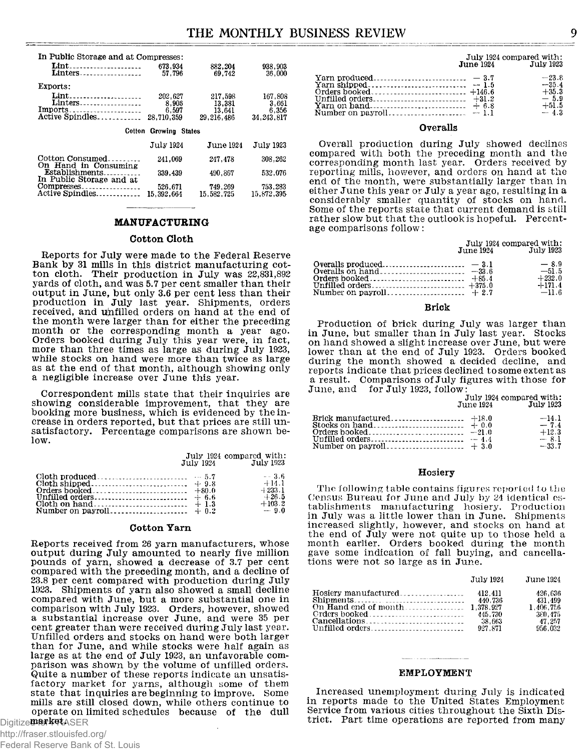| In Public Storage and at Compresses:   |                       |                       |                        |
|----------------------------------------|-----------------------|-----------------------|------------------------|
| Lint                                   | 673.934               | 882,204               | 938.903                |
| <b>Linters</b>                         | 57.796                | 69,742                | 36,000                 |
| Exports:                               |                       |                       |                        |
| Lint<br>Linters                        | 202.627               | 217,598               | 167.808                |
| $Imports$                              | 8.906<br>6.597        | 13.381<br>13.641      | 3.661<br>6,356         |
| Active Spindles                        | 28,710,359            | 29, 216, 486          | 34.243.817             |
|                                        |                       |                       |                        |
|                                        |                       |                       |                        |
| Cotton                                 | Growing States        |                       |                        |
|                                        | <b>July 1924</b>      | <b>June 1924</b>      | July 1923              |
| Cotton Consumed                        | 241,069               | 247.478               | 308,262                |
| On Hand in Consuming<br>Establishments | 339,439               | 490,867               | 532,076                |
| In Public Storage and at               |                       |                       |                        |
| $Compresses$<br>Active Spindles        | 526.671<br>15.392.664 | 749,269<br>15.582.725 | 753, 283<br>15.872.395 |

#### **MANUFACTURING**

#### Cotton Cloth

Reports for July were made to the Federal Reserve Bank by 31 mills in this district manufacturing cotton cloth. Their production in July was 22,831,892 yards of cloth, and was 5.7 per cent smaller than their output in June, but only 3.6 per cent less than their production in July last year. Shipments, orders received, and unfilled orders on hand at the end of the month were larger than for either the preceding month or the corresponding month a year ago. Orders booked during July this year were, in fact, more than three times as large as during July 1923, while stocks on hand were more than twice as large as at the end of that month, although showing only a negligible increase over June this year.

Correspondent mills state that their inquiries are showing considerable improvement, that they are booking more business, which is evidenced by the increase in orders reported, but that prices are still unsatisfactory. Percentage comparisons are shown below.

|  | July 1924 compared with:<br>July 1924 July 1923                 |
|--|-----------------------------------------------------------------|
|  | $-8.6$<br>$+14.1$<br>$-+233.1$<br>$+26.5$<br>$+103.2$<br>$-9.0$ |

#### Cotton Yarn

Reports received from 26 yarn manufacturers, whose output during July amounted to nearly five million pounds of yarn, showed a decrease of 3.7 per cent compared with the preceding month, and a decline of 23.8 per cent compared with production during July 1923. Shipments of yarn also showed a small decline compared with June, but a more substantial one in comparison with July 1923. Orders, however, showed a substantial increase over June, and were 35 per cent greater than were received during July last year. Unfilled orders and stocks on hand were both larger than for June, and while stocks were half again as large as at the end of July 1923, an unfavorable comparison was shown by the volume of unfilled orders. Quite a number of these reports indicate an unsatisfactory market for yarns, although some of them state that inquiries are beginning to improve. Some mills are still closed down, while others continue to operate on limited schedules because of the dull

Digitize**t for ket** ASER

http://fraser.stlouisfed.org/ Federal Reserve Bank of St. Louis

|                  | July 1924 compared with: |
|------------------|--------------------------|
| <b>June 1924</b> | <b>July 1923</b>         |

|  | $-23.8$<br>$-35.4$<br>$+35.3$ |
|--|-------------------------------|
|  | $-5.9$<br>$+51.5$<br>$-4.3$   |

#### **O v e r a lls**

**Overall production during July showed declines** compared with both the preceding month and the corresponding month last year. Orders received by reporting mills, however, and orders on hand at the end of the month, were substantially larger than in either June this year or July a year ago, resulting in a considerably smaller quantity of stocks on hand. Some of the reports state that current demand is still rather slow but that the outlook is hopeful. Percentage comparisons follow:

|                   | July 1924 compared with: |
|-------------------|--------------------------|
| <b>J</b> une 1924 | July 1923                |

|  | $-8.9$   |
|--|----------|
|  | $-51.5$  |
|  | $+232.0$ |
|  | $+171.4$ |
|  | $-11.6$  |

#### **B r i c k**

Production of brick during July was larger than in June, but smaller than in July last year. Stocks on hand showed a slight increase over June, but were lower than at the end of July 1923. Orders booked during the month showed a decided decline, and reports indicate that prices declined to some extent as **a** result. Comparisons of July figures with those for **June, and for July 1923, follow** 

**July 1924 compared with:**<br>une 1924 **July 1923 June 1924 Ju ly 1923**

|  | $-14$ 1<br>$-74$<br>$+12.3$<br>$-81$ |
|--|--------------------------------------|
|  | $-33.7$                              |

#### **Hosiery**

The following table contains figures reported to the Census Bureau for June and July by 24 identical establishments manufacturing hosiery. Production in July was a little lower than in June. Shipments increased slightly, however, and stocks on hand at the end of July were not quite up to those held a month earlier. Orders booked during the month gave some indication of fall buying, and cancellations were not so large as in June.

| July 1924          | June 1924.                                                      |
|--------------------|-----------------------------------------------------------------|
| 440.736<br>927.871 | 426.636<br>431.499<br>1.406.756<br>380.475<br>47.257<br>956.032 |

#### **E M P L O Y M E N T**

Increased unemployment during July is indicated in reports made to the United States Employment Service from various cities throughout the Sixth District. Part time operations are reported from many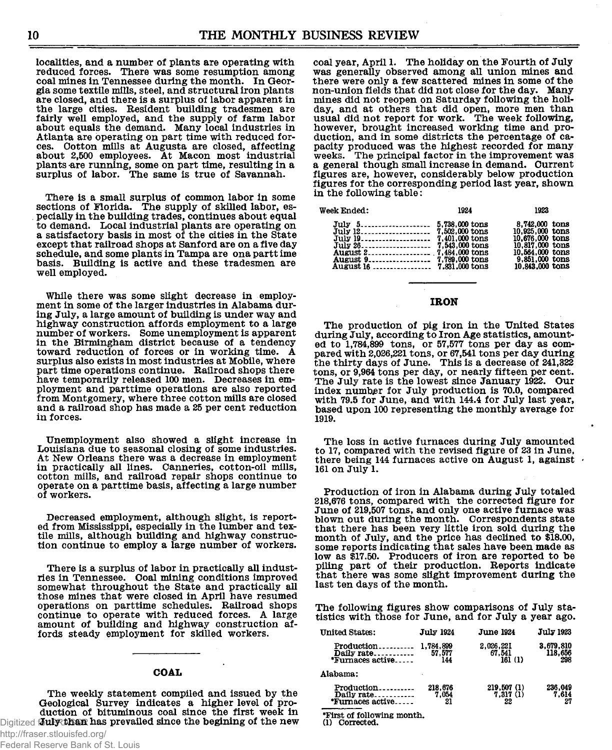localities, and a number of plants are operating with reduced forces. There was some resumption among coal mines in Tennessee during the month. In Georgia some textile mills, steel, and structural iron plants are closed, and there is a surplus of labor apparent in the large cities. Resident building tradesmen are fairly well employed, and the supply of farm labor about equals the demand. Many local industries in Atlanta are operating on part time with reduced forces. Cotton mills at Augusta are closed, affecting about 2,500 employees. At Macon most industrial plants are running, some on part time, resulting in a surplus of labor. The same is true of Savannah

There is a small surplus of common labor in some sections of Florida. The supply of skilled labor, especially in the building trades, continues about equal to demand. Local industrial plants are operating on a satisfactory basis in most of the cities in the State except that railroad shops at Sanford are on a five day schedule, and some plants in Tampa are ona partt ime basis. Building is active and these tradesmen are well employed.

While there was some slight decrease in employment in some of the larger industries in Alabama during July, a large amount of building is under way and highway construction affords employment to a large number of workers. Some unemployment is apparent in the Birmingham district because of a tendency toward reduction of forces or in working time. A surplus also exists in most industries at Mobile, where part time operations continue. Railroad shops there have temporarily released 100 men. Decreases in employment and parttime operations are also reported from Montgomery, where three cotton mills are closed and a railroad shop has made a 25 per cent reduction in forces.

Unemployment also showed a slight increase in Louisiana due to seasonal closing of some industries. At New Orleans there was a decrease in employment in practically all lines. Canneries, cotton-oil mills, cotton mills, and railroad repair shops continue to operate on a parttime basis, affecting a large number of workers.

Decreased employment, although slight, is reported from Mississippi, especially in the lumber and textile mills, although building and highway construction continue to employ a large number of workers.

There is a surplus of labor in practically all industries in Tennessee. Coal mining conditions improved somewhat throughout the State and practically all those mines that were closed in April have resumed operations on parttime schedules. Railroad shops continue to operate with reduced forces. A large amount of building and highway construction affords steady employment for skilled workers.

#### **COAL**

The weekly statement compiled and issued by the Geological Survey indicates a higher level of production of bituminous coal since the first week in Digitized **July than has prevailed since the begining of the new** 

coal year, April 1. The holiday on the Fourth of July was generally observed among all union mines and there were only a few scattered mines in some of the non-union fields that did not close for the day. Many mines did not reopen on Saturday following the holiday, and at others that did open, more men than usual did not report for work. The week following, however, brought increased working time and production, and in some districts the percentage of capacity produced was the highest recorded for many weeks. The principal factor in the improvement was a general though small increase in demand. Current figures are, however, considerably below production figures for the corresponding period last year, shown in the following table:

| <b>Week Ended:</b>    | 1924 | 1923                                                                                                                            |
|-----------------------|------|---------------------------------------------------------------------------------------------------------------------------------|
| July 5 5,738,000 tons |      | 8,742,000 tons<br>10.925,000 tons<br>10,676,000 tons<br>10,817,000 tons<br>10,564,000 tons<br>9,851,000 tons<br>10.843,000 tons |

#### IR O N

The production of pig iron in the United States during July, according to Iron Age statistics, amounted to  $1,784,899$  tons, or  $57,577$  tons per day as compared with 2,026,221 tons, or 67,541 tons per day during the thirty days of June. This is a decrease of  $241,322$ tons, or 9,964 tons per day, or nearly fifteen per cent. The July rate is the lowest since January 1922. Our index number for July production is 70.0, compared with 79.5 for June, and with  $144.4$  for July last year, based upon 100 representing the monthly average for 1919.

The loss in active furnaces during July amounted to 17, compared with the revised figure of 23 in June, there being 144 furnaces active on August 1, against  $\cdot$ 161 on July 1.

Production of iron in Alabama during July totaled 218,676 tons, compared with the corrected figure for June of 219,507 tons, and only one active furnace was<br>blown out during the month. Correspondents state that there has been very little iron sold during the month of July, and the price has declined to \$18.00, some reports indicating that sales have been made as low as \$17.50. Producers of iron are reported to be piling part of their production. Reports indicate that there was some slight improvement during the last ten days of the month.

The following figures show comparisons of July statistics with those for June, and for July a year ago.

| <b>United States:</b>                        | <b>July 1924</b>           | <b>June 1924</b>              | July 1923                   |
|----------------------------------------------|----------------------------|-------------------------------|-----------------------------|
| Production<br>Daily rate<br>*Furnaces active | 1,784,899<br>57,577<br>144 | 2,026,221<br>67.541<br>161(1) | 3,679,810<br>118,656<br>298 |
| Alabama:                                     |                            |                               |                             |
| Production<br>Daily rate<br>"Furnaces active | 218.676<br>7.054<br>21     | 219,507(1)<br>7,317(1)<br>22  | 236,049<br>7.614            |

**♦First of fo llow in g m onth.**

**(1) Corrected.**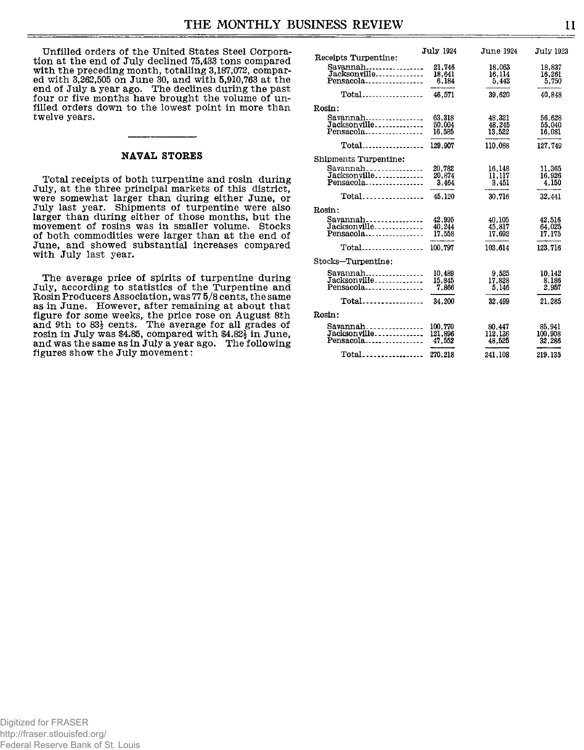Unfilled orders of the United States Steel Corporation at the end of July declined 75,433 tons compared with the preceding month, totalling 3,187,072, compared with 3,262,505 on June 30, and with 5,910,763 at the end of July a year ago. The declines during the past four or five months have brought the volume of unfilled orders down to the lowest point in more than twelve years.

#### NAVAL STORES

Total receipts of both turpentine and rosin during July, at the three principal markets of this district, were somewhat larger than during either June, or July last year. Shipments of turpentine were also larger than during either of those months, but the movement of rosins was in smaller volume. Stocks of both commodities were larger than at the end of June, and showed substantial increases compared with July last year.

The average price of spirits of turpentine during July, according to statistics of the Turpentine and Rosin Producers Association, was 77 5/8 cents, the same as in June. However, after remaining at about that figure for some weeks, the price rose on August 8th and 9th to  $83\frac{1}{2}$  cents. The average for all grades of rosin in July was \$4.85, compared with  $$4.82<sup>1</sup>/<sub>2</sub>$  in June, and was the same as in July a year ago. The foll**o**wing figures show the July movement:

| Receipts Turpentine:                             | <b>July 1924</b>             | <b>June 1924</b>            | <b>July 1923</b>            |
|--------------------------------------------------|------------------------------|-----------------------------|-----------------------------|
| Savannah<br>Jacksonville<br>Pensacola            | 21.746<br>18,641<br>6,184    | 18.063<br>16.114<br>5.443   | 18.837<br>16,261<br>5,750   |
| $Total$                                          | 46.571                       | 39.620                      | 40.848                      |
| Rosin:                                           |                              |                             |                             |
| Savannah<br>Jacksonville<br>Pensacola            | 63.318<br>50,004<br>16.585   | 48,321<br>48,245<br>13.522  | 56.628<br>55,040<br>16.081  |
| $Total$                                          | 129,907                      | 110,088                     | 127.749                     |
| Shipments Turpentine:                            |                              |                             |                             |
| $Savannah$<br>Jacksonville<br>Pensacola          | 20.782<br>20,874<br>3.464    | 16,148<br>11,117<br>3.451   | 11.365<br>16.926<br>4,150   |
| $Total$                                          | 45.120                       | 30.716                      | 32.441                      |
| Rosin:                                           |                              |                             |                             |
| Savannah<br>Jacksonville<br>Pensacola            | 42.995<br>40.244<br>17,558   | 40.105<br>45.817<br>17.692  | 42.516<br>64,025<br>17.175  |
| $Total$                                          | 100.797                      | 103.614                     | 123.716                     |
| Stocks-Turpentine:                               |                              |                             |                             |
| Savannah<br>Jacksonville<br>Pensacola            | 10.489<br>15,845<br>7.866    | 9,525<br>17,828<br>5.146    | 10.142<br>8,186<br>2.957    |
| $Total$                                          | 34,200                       | 32.499                      | 21.285                      |
| Rosin:                                           |                              |                             |                             |
| $Savannah$<br>Jacksonville<br>Pensacola <b>.</b> | 100,770<br>121,896<br>47.552 | 80,447<br>112,136<br>48.525 | 85,941<br>100,908<br>32.286 |
| Total                                            | 270.218                      | 241.108                     | 219.135                     |

Digitized for FRASER http://fraser.stlouisfed.org/ Federal Reserve Bank of St. Louis